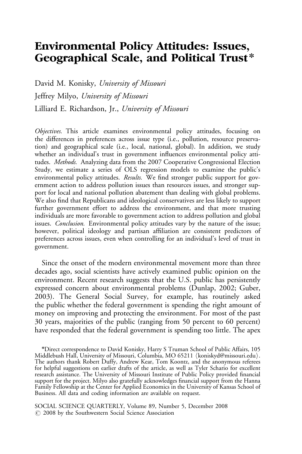## Environmental Policy Attitudes: Issues, Geographical Scale, and Political Trust<sup>\*</sup>

David M. Konisky, University of Missouri Jeffrey Milyo, University of Missouri Lilliard E. Richardson, Jr., University of Missouri

Objectives. This article examines environmental policy attitudes, focusing on the differences in preferences across issue type (i.e., pollution, resource preservation) and geographical scale (i.e., local, national, global). In addition, we study whether an individual's trust in government influences environmental policy attitudes. Methods. Analyzing data from the 2007 Cooperative Congressional Election Study, we estimate a series of OLS regression models to examine the public's environmental policy attitudes. Results. We find stronger public support for government action to address pollution issues than resources issues, and stronger support for local and national pollution abatement than dealing with global problems. We also find that Republicans and ideological conservatives are less likely to support further government effort to address the environment, and that more trusting individuals are more favorable to government action to address pollution and global issues. Conclusion. Environmental policy attitudes vary by the nature of the issue; however, political ideology and partisan affiliation are consistent predictors of preferences across issues, even when controlling for an individual's level of trust in government.

Since the onset of the modern environmental movement more than three decades ago, social scientists have actively examined public opinion on the environment. Recent research suggests that the U.S. public has persistently expressed concern about environmental problems (Dunlap, 2002; Guber, 2003). The General Social Survey, for example, has routinely asked the public whether the federal government is spending the right amount of money on improving and protecting the environment. For most of the past 30 years, majorities of the public (ranging from 50 percent to 60 percent) have responded that the federal government is spending too little. The apex

\*Direct correspondence to David Konisky, Harry S Truman School of Public Affairs, 105<br>Middlebush Hall, University of Missouri, Columbia, MO 65211 (koniskyd@missouri.edu). [The authors thank Robert Duffy, Andrew Kear, Tom Koontz, and the anonymous referees](I:/Bwus/SSQU/574/koniskyd@missouri.edu) [for helpful suggestions on earlier drafts of the article, as well as Tyler Schario for excellent](I:/Bwus/SSQU/574/koniskyd@missouri.edu) [research assistance. The University of Missouri Institute of Public Policy provided financial](I:/Bwus/SSQU/574/koniskyd@missouri.edu) [support for the project. Milyo also gratefully acknowledges financial support from the Hanna](I:/Bwus/SSQU/574/koniskyd@missouri.edu) [Family Fellowship at the Center for Applied Economics in the University of Kansas School of](I:/Bwus/SSQU/574/koniskyd@missouri.edu) [Business. All data and coding information are available on request.](I:/Bwus/SSQU/574/koniskyd@missouri.edu)

SOCIAL SCIENCE QUARTERLY, Volume 89, Number 5, December 2008  $\circ$  2008 by the Southwestern Social Science Association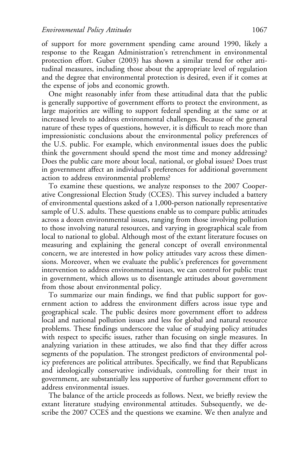of support for more government spending came around 1990, likely a response to the Reagan Administration's retrenchment in environmental protection effort. Guber (2003) has shown a similar trend for other attitudinal measures, including those about the appropriate level of regulation and the degree that environmental protection is desired, even if it comes at the expense of jobs and economic growth.

One might reasonably infer from these attitudinal data that the public is generally supportive of government efforts to protect the environment, as large majorities are willing to support federal spending at the same or at increased levels to address environmental challenges. Because of the general nature of these types of questions, however, it is difficult to reach more than impressionistic conclusions about the environmental policy preferences of the U.S. public. For example, which environmental issues does the public think the government should spend the most time and money addressing? Does the public care more about local, national, or global issues? Does trust in government affect an individual's preferences for additional government action to address environmental problems?

To examine these questions, we analyze responses to the 2007 Cooperative Congressional Election Study (CCES). This survey included a battery of environmental questions asked of a 1,000-person nationally representative sample of U.S. adults. These questions enable us to compare public attitudes across a dozen environmental issues, ranging from those involving pollution to those involving natural resources, and varying in geographical scale from local to national to global. Although most of the extant literature focuses on measuring and explaining the general concept of overall environmental concern, we are interested in how policy attitudes vary across these dimensions. Moreover, when we evaluate the public's preferences for government intervention to address environmental issues, we can control for public trust in government, which allows us to disentangle attitudes about government from those about environmental policy.

To summarize our main findings, we find that public support for government action to address the environment differs across issue type and geographical scale. The public desires more government effort to address local and national pollution issues and less for global and natural resource problems. These findings underscore the value of studying policy attitudes with respect to specific issues, rather than focusing on single measures. In analyzing variation in these attitudes, we also find that they differ across segments of the population. The strongest predictors of environmental policy preferences are political attributes. Specifically, we find that Republicans and ideologically conservative individuals, controlling for their trust in government, are substantially less supportive of further government effort to address environmental issues.

The balance of the article proceeds as follows. Next, we briefly review the extant literature studying environmental attitudes. Subsequently, we describe the 2007 CCES and the questions we examine. We then analyze and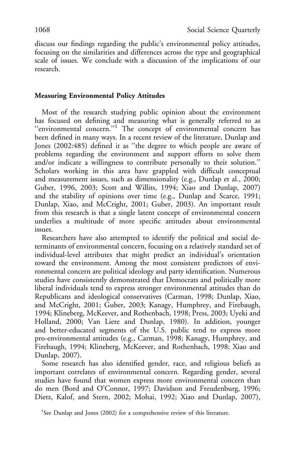discuss our findings regarding the public's environmental policy attitudes, focusing on the similarities and differences across the type and geographical scale of issues. We conclude with a discussion of the implications of our research.

#### Measuring Environmental Policy Attitudes

Most of the research studying public opinion about the environment has focused on defining and measuring what is generally referred to as "environmental concern."<sup>1</sup> The concept of environmental concern has been defined in many ways. In a recent review of the literature, Dunlap and Jones (2002:485) defined it as ''the degree to which people are aware of problems regarding the environment and support efforts to solve them and/or indicate a willingness to contribute personally to their solution.'' Scholars working in this area have grappled with difficult conceptual and measurement issues, such as dimensionality (e.g., Dunlap et al., 2000; Guber, 1996, 2003; Scott and Willits, 1994; Xiao and Dunlap, 2007) and the stability of opinions over time (e.g., Dunlap and Scarce, 1991; Dunlap, Xiao, and McCright, 2001; Guber, 2003). An important result from this research is that a single latent concept of environmental concern underlies a multitude of more specific attitudes about environmental issues.

Researchers have also attempted to identify the political and social determinants of environmental concern, focusing on a relatively standard set of individual-level attributes that might predict an individual's orientation toward the environment. Among the most consistent predictors of environmental concern are political ideology and party identification. Numerous studies have consistently demonstrated that Democrats and politically more liberal individuals tend to express stronger environmental attitudes than do Republicans and ideological conservatives (Carman, 1998; Dunlap, Xiao, and McCright, 2001; Guber, 2003; Kanagy, Humphrey, and Firebaugh, 1994; Klineberg, McKeever, and Rothenbach, 1998; Press, 2003; Uyeki and Holland, 2000; Van Liere and Dunlap, 1980). In addition, younger and better-educated segments of the U.S. public tend to express more pro-environmental attitudes (e.g., Carman, 1998; Kanagy, Humphrey, and Firebaugh, 1994; Klineberg, McKeever, and Rothenbach, 1998; Xiao and Dunlap, 2007).

Some research has also identified gender, race, and religious beliefs as important correlates of environmental concern. Regarding gender, several studies have found that women express more environmental concern than do men (Bord and O'Connor, 1997; Davidson and Freudenburg, 1996; Dietz, Kalof, and Stern, 2002; Mohai, 1992; Xiao and Dunlap, 2007),

<sup>&</sup>lt;sup>1</sup>See Dunlap and Jones (2002) for a comprehensive review of this literature.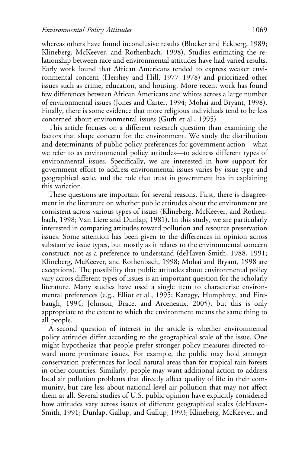whereas others have found inconclusive results (Blocker and Eckberg, 1989; Klineberg, McKeever, and Rothenbach, 1998). Studies estimating the relationship between race and environmental attitudes have had varied results. Early work found that African Americans tended to express weaker environmental concern (Hershey and Hill, 1977–1978) and prioritized other issues such as crime, education, and housing. More recent work has found few differences between African Americans and whites across a large number of environmental issues (Jones and Carter, 1994; Mohai and Bryant, 1998). Finally, there is some evidence that more religious individuals tend to be less concerned about environmental issues (Guth et al., 1995).

This article focuses on a different research question than examining the factors that shape concern for the environment. We study the distribution and determinants of public policy preferences for government action—what we refer to as environmental policy attitudes—to address different types of environmental issues. Specifically, we are interested in how support for government effort to address environmental issues varies by issue type and geographical scale, and the role that trust in government has in explaining this variation.

These questions are important for several reasons. First, there is disagreement in the literature on whether public attitudes about the environment are consistent across various types of issues (Klineberg, McKeever, and Rothenbach, 1998; Van Liere and Dunlap, 1981). In this study, we are particularly interested in comparing attitudes toward pollution and resource preservation issues. Some attention has been given to the differences in opinion across substantive issue types, but mostly as it relates to the environmental concern construct, not as a preference to understand (deHaven-Smith, 1988, 1991; Klineberg, McKeever, and Rothenbach, 1998; Mohai and Bryant, 1998 are exceptions). The possibility that public attitudes about environmental policy vary across different types of issues is an important question for the scholarly literature. Many studies have used a single item to characterize environmental preferences (e.g., Elliot et al., 1995; Kanagy, Humphrey, and Firebaugh, 1994; Johnson, Brace, and Arceneaux, 2005), but this is only appropriate to the extent to which the environment means the same thing to all people.

A second question of interest in the article is whether environmental policy attitudes differ according to the geographical scale of the issue. One might hypothesize that people prefer stronger policy measures directed toward more proximate issues. For example, the public may hold stronger conservation preferences for local natural areas than for tropical rain forests in other countries. Similarly, people may want additional action to address local air pollution problems that directly affect quality of life in their community, but care less about national-level air pollution that may not affect them at all. Several studies of U.S. public opinion have explicitly considered how attitudes vary across issues of different geographical scales (deHaven-Smith, 1991; Dunlap, Gallup, and Gallup, 1993; Klineberg, McKeever, and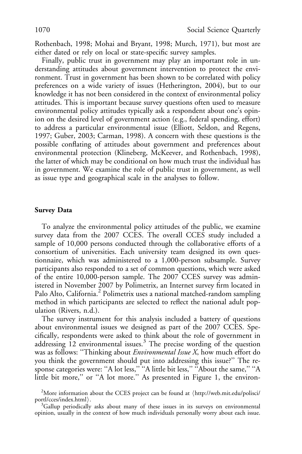Rothenbach, 1998; Mohai and Bryant, 1998; Murch, 1971), but most are either dated or rely on local or state-specific survey samples.

Finally, public trust in government may play an important role in understanding attitudes about government intervention to protect the environment. Trust in government has been shown to be correlated with policy preferences on a wide variety of issues (Hetherington, 2004), but to our knowledge it has not been considered in the context of environmental policy attitudes. This is important because survey questions often used to measure environmental policy attitudes typically ask a respondent about one's opinion on the desired level of government action (e.g., federal spending, effort) to address a particular environmental issue (Elliott, Seldon, and Regens, 1997; Guber, 2003; Carman, 1998). A concern with these questions is the possible conflating of attitudes about government and preferences about environmental protection (Klineberg, McKeever, and Rothenbach, 1998), the latter of which may be conditional on how much trust the individual has in government. We examine the role of public trust in government, as well as issue type and geographical scale in the analyses to follow.

#### Survey Data

To analyze the environmental policy attitudes of the public, we examine survey data from the 2007 CCES. The overall CCES study included a sample of 10,000 persons conducted through the collaborative efforts of a consortium of universities. Each university team designed its own questionnaire, which was administered to a 1,000-person subsample. Survey participants also responded to a set of common questions, which were asked of the entire 10,000-person sample. The 2007 CCES survey was administered in November 2007 by Polimetrix, an Internet survey firm located in Palo Alto, California.<sup>2</sup> Polimetrix uses a national matched-random sampling method in which participants are selected to reflect the national adult population (Rivers, n.d.).

The survey instrument for this analysis included a battery of questions about environmental issues we designed as part of the 2007 CCES. Specifically, respondents were asked to think about the role of government in addressing  $12$  environmental issues.<sup>3</sup> The precise wording of the question was as follows: "Thinking about *Environmental Issue X*, how much effort do you think the government should put into addressing this issue?'' The response categories were: "A lot less," "A little bit less," "About the same," "A little bit more," or "A lot more." As presented in Figure 1, the environ-

<sup>&</sup>lt;sup>2</sup>More information about the CCES project can be found at  $\langle$  http://web.mit.edu/polisci/  $portl/cces/index.html$ .

 ${}^{3}$ Gallup periodically asks about many of these issues in its surveys on environmental opinion, usually in the context of how much individuals personally worry about each issue.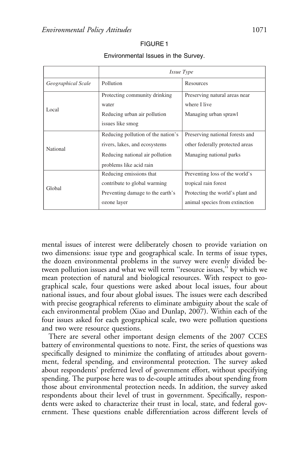| <b>FIGURE 1</b> |
|-----------------|
|-----------------|

|                    | <i>Issue Type</i>                                                                                                                 |                                                                                                                              |  |
|--------------------|-----------------------------------------------------------------------------------------------------------------------------------|------------------------------------------------------------------------------------------------------------------------------|--|
| Geographical Scale | Pollution                                                                                                                         | Resources                                                                                                                    |  |
| Local              | Protecting community drinking<br>water<br>Reducing urban air pollution<br>issues like smog                                        | Preserving natural areas near<br>where I live<br>Managing urban sprawl                                                       |  |
| National           | Reducing pollution of the nation's<br>rivers, lakes, and ecosystems<br>Reducing national air pollution<br>problems like acid rain | Preserving national forests and<br>other federally protected areas<br>Managing national parks                                |  |
| Global             | Reducing emissions that<br>contribute to global warming<br>Preventing damage to the earth's<br>ozone layer                        | Preventing loss of the world's<br>tropical rain forest<br>Protecting the world's plant and<br>animal species from extinction |  |

mental issues of interest were deliberately chosen to provide variation on two dimensions: issue type and geographical scale. In terms of issue types, the dozen environmental problems in the survey were evenly divided between pollution issues and what we will term ''resource issues,'' by which we mean protection of natural and biological resources. With respect to geographical scale, four questions were asked about local issues, four about national issues, and four about global issues. The issues were each described with precise geographical referents to eliminate ambiguity about the scale of each environmental problem (Xiao and Dunlap, 2007). Within each of the four issues asked for each geographical scale, two were pollution questions and two were resource questions.

There are several other important design elements of the 2007 CCES battery of environmental questions to note. First, the series of questions was specifically designed to minimize the conflating of attitudes about government, federal spending, and environmental protection. The survey asked about respondents' preferred level of government effort, without specifying spending. The purpose here was to de-couple attitudes about spending from those about environmental protection needs. In addition, the survey asked respondents about their level of trust in government. Specifically, respondents were asked to characterize their trust in local, state, and federal government. These questions enable differentiation across different levels of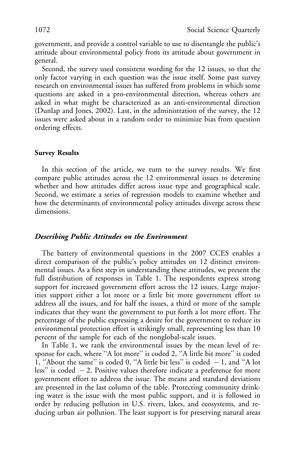government, and provide a control variable to use to disentangle the public's attitude about environmental policy from its attitude about government in general.

Second, the survey used consistent wording for the 12 issues, so that the only factor varying in each question was the issue itself. Some past survey research on environmental issues has suffered from problems in which some questions are asked in a pro-environmental direction, whereas others are asked in what might be characterized as an anti-environmental direction (Dunlap and Jones, 2002). Last, in the administration of the survey, the 12 issues were asked about in a random order to minimize bias from question ordering effects.

#### Survey Results

In this section of the article, we turn to the survey results. We first compare public attitudes across the 12 environmental issues to determine whether and how attitudes differ across issue type and geographical scale. Second, we estimate a series of regression models to examine whether and how the determinants of environmental policy attitudes diverge across these dimensions.

#### Describing Public Attitudes on the Environment

The battery of environmental questions in the 2007 CCES enables a direct comparison of the public's policy attitudes on 12 distinct environmental issues. As a first step in understanding these attitudes, we present the full distribution of responses in Table 1. The respondents express strong support for increased government effort across the 12 issues. Large majorities support either a lot more or a little bit more government effort to address all the issues, and for half the issues, a third or more of the sample indicates that they want the government to put forth a lot more effort. The percentage of the public expressing a desire for the government to reduce its environmental protection effort is strikingly small, representing less than 10 percent of the sample for each of the nonglobal-scale issues.

In Table 1, we rank the environmental issues by the mean level of response for each, where "A lot more" is coded 2, "A little bit more" is coded 1, "About the same" is coded 0, "A little bit less" is coded  $-1$ , and "A lot less" is coded  $-2$ . Positive values therefore indicate a preference for more government effort to address the issue. The means and standard deviations are presented in the last column of the table. Protecting community drinking water is the issue with the most public support, and it is followed in order by reducing pollution in U.S. rivers, lakes, and ecosystems, and reducing urban air pollution. The least support is for preserving natural areas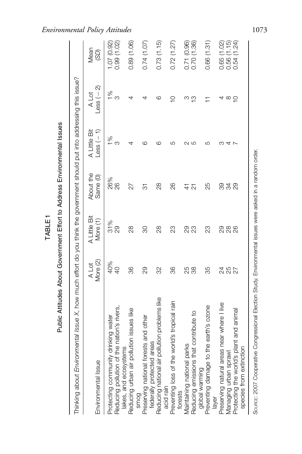| Thinking about Environmental Issue X, how much effort do you think the government should put into addressing this issue?    |                            |                          |                       |                           |                      |                                        |
|-----------------------------------------------------------------------------------------------------------------------------|----------------------------|--------------------------|-----------------------|---------------------------|----------------------|----------------------------------------|
| Environmental Issue                                                                                                         | More (2)<br>$A$ Lot        | A Little Bit<br>More (1) | About the<br>Same (0) | $Les(-1)$<br>A Little Bit | $Less (-2)$<br>A Lot | Mean<br>$\widetilde{SD}$               |
| ne nation's rivers,<br>Protecting community drinking water<br>Reducing pollution of th                                      | 40%                        | 31%<br>8                 | 26%<br>88             | 1%                        | 1%                   | 1.07 (0.92)<br>0.99 (1.02)             |
| Reducing urban air pollution issues like<br>lakes, and ecosystems                                                           | 36                         | $\frac{8}{2}$            | 27                    |                           |                      | 0.89 (1.06)                            |
| Preserving national forests and other<br>federally protected areas<br>smog                                                  | 82                         | 80                       | 75                    | ဖ                         |                      | 0.74(1.07)                             |
| Reducing national air pollution problems like<br>acid rain                                                                  | 32                         | 28                       | 28                    | ဖ                         | ဖ                    | 0.73(1.15)                             |
| Preventing loss of the world's tropical rain<br>forests                                                                     | 86                         | 23                       | 88                    | ഥ                         | $\circ$              | 0.72(1.27)                             |
| Reducing emissions that contribute to<br>Maintaining national parks                                                         | 8<br>28                    | 89<br>23                 | 4 Z<br>2              | ഥ                         | ო                    | 0.71 (0.96)<br>0.70 (1.36)             |
| Preventing damage to the earth's ozone<br>global warming                                                                    | 35                         | 23                       | 25                    | ഥ                         |                      | 0.66(1.31)                             |
| Preserving natural areas near where I live<br>lant and animal<br>Managing urban sprawl<br>Protecting the world's p<br>layer | 2<br>2<br>2<br>2<br>2<br>2 | ನ<br>ನ ನ ನ               | 8 ಇ 8                 | ო<br>4                    | ∞<br>$\supseteq$     | 0.54(1.24)<br>0.65(1.02)<br>0.56(1.15) |
| species from extinction                                                                                                     |                            |                          |                       |                           |                      |                                        |

Public Attitudes About Government Effort to Address Environmental Issues Public Attitudes About Government Effort to Address Environmental Issues TABLE 1

Environmental Policy Attitudes 1073

Sounce: 2007 Cooperative Congressional Election Study. Environmental issues were asked in a random order. SOURCE: 2007 Cooperative Congressional Election Study. Environmental issues were asked in a random order.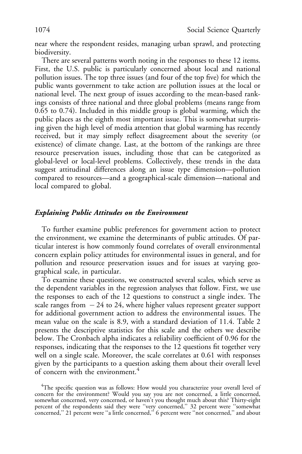near where the respondent resides, managing urban sprawl, and protecting biodiversity.

There are several patterns worth noting in the responses to these 12 items. First, the U.S. public is particularly concerned about local and national pollution issues. The top three issues (and four of the top five) for which the public wants government to take action are pollution issues at the local or national level. The next group of issues according to the mean-based rankings consists of three national and three global problems (means range from 0.65 to 0.74). Included in this middle group is global warming, which the public places as the eighth most important issue. This is somewhat surprising given the high level of media attention that global warming has recently received, but it may simply reflect disagreement about the severity (or existence) of climate change. Last, at the bottom of the rankings are three resource preservation issues, including those that can be categorized as global-level or local-level problems. Collectively, these trends in the data suggest attitudinal differences along an issue type dimension—pollution compared to resources—and a geographical-scale dimension—national and local compared to global.

#### Explaining Public Attitudes on the Environment

To further examine public preferences for government action to protect the environment, we examine the determinants of public attitudes. Of particular interest is how commonly found correlates of overall environmental concern explain policy attitudes for environmental issues in general, and for pollution and resource preservation issues and for issues at varying geographical scale, in particular.

To examine these questions, we constructed several scales, which serve as the dependent variables in the regression analyses that follow. First, we use the responses to each of the 12 questions to construct a single index. The scale ranges from  $-24$  to 24, where higher values represent greater support for additional government action to address the environmental issues. The mean value on the scale is 8.9, with a standard deviation of 11.4. Table 2 presents the descriptive statistics for this scale and the others we describe below. The Cronbach alpha indicates a reliability coefficient of 0.96 for the responses, indicating that the responses to the 12 questions fit together very well on a single scale. Moreover, the scale correlates at 0.61 with responses given by the participants to a question asking them about their overall level of concern with the environment.<sup>4</sup>

<sup>4</sup>The specific question was as follows: How would you characterize your overall level of concern for the environment? Would you say you are not concerned, a little concerned, somewhat concerned, very concerned, or haven't you thought much about this? Thirty-eight percent of the respondents said they were ''very concerned,'' 32 percent were ''somewhat concerned,'' 21 percent were ''a little concerned,'' 6 percent were ''not concerned,'' and about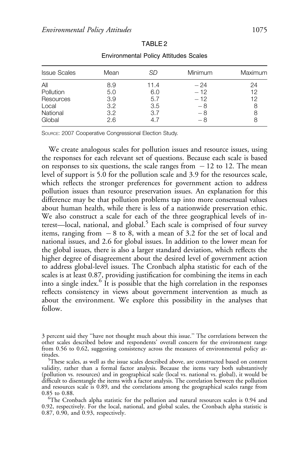| <b>Issue Scales</b> | Mean | SD   | Minimum | Maximum |
|---------------------|------|------|---------|---------|
| All                 | 8.9  | 11.4 | $-24$   | 24      |
| Pollution           | 5.0  | 6.0  | $-12$   | 12      |
| Resources           | 3.9  | 5.7  | $-12$   | 12      |
| Local               | 3.2  | 3.5  | -8      | 8       |
| National            | 3.2  | 3.7  | -8      | 8       |
| Global              | 2.6  |      | -8      | 8       |

TABLE 2

Environmental Policy Attitudes Scales

SOURCE: 2007 Cooperative Congressional Election Study.

We create analogous scales for pollution issues and resource issues, using the responses for each relevant set of questions. Because each scale is based on responses to six questions, the scale ranges from  $-12$  to 12. The mean level of support is 5.0 for the pollution scale and 3.9 for the resources scale, which reflects the stronger preferences for government action to address pollution issues than resource preservation issues. An explanation for this difference may be that pollution problems tap into more consensual values about human health, while there is less of a nationwide preservation ethic. We also construct a scale for each of the three geographical levels of interest—local, national, and global.<sup>5</sup> Each scale is comprised of four survey items, ranging from  $-8$  to 8, with a mean of 3.2 for the set of local and national issues, and 2.6 for global issues. In addition to the lower mean for the global issues, there is also a larger standard deviation, which reflects the higher degree of disagreement about the desired level of government action to address global-level issues. The Cronbach alpha statistic for each of the scales is at least 0.87, providing justification for combining the items in each into a single index.<sup>6</sup> It is possible that the high correlation in the responses reflects consistency in views about government intervention as much as about the environment. We explore this possibility in the analyses that follow.

<sup>3</sup> percent said they ''have not thought much about this issue.'' The correlations between the other scales described below and respondents' overall concern for the environment range from 0.56 to 0.62, suggesting consistency across the measures of environmental policy attitudes.

These scales, as well as the issue scales described above, are constructed based on content validity, rather than a formal factor analysis. Because the items vary both substantively (pollution vs. resources) and in geographical scale (local vs. national vs. global), it would be difficult to disentangle the items with a factor analysis. The correlation between the pollution and resources scale is 0.89, and the correlations among the geographical scales range from 0.85 to 0.88. <sup>6</sup>

<sup>&</sup>lt;sup>6</sup>The Cronbach alpha statistic for the pollution and natural resources scales is 0.94 and 0.92, respectively. For the local, national, and global scales, the Cronbach alpha statistic is 0.87, 0.90, and 0.93, respectively.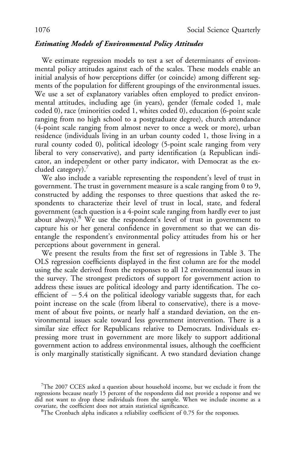#### Estimating Models of Environmental Policy Attitudes

We estimate regression models to test a set of determinants of environmental policy attitudes against each of the scales. These models enable an initial analysis of how perceptions differ (or coincide) among different segments of the population for different groupings of the environmental issues. We use a set of explanatory variables often employed to predict environmental attitudes, including age (in years), gender (female coded 1, male coded 0), race (minorities coded 1, whites coded 0), education (6-point scale ranging from no high school to a postgraduate degree), church attendance (4-point scale ranging from almost never to once a week or more), urban residence (individuals living in an urban county coded 1, those living in a rural county coded 0), political ideology (5-point scale ranging from very liberal to very conservative), and party identification (a Republican indicator, an independent or other party indicator, with Democrat as the excluded category).<sup>7</sup>

We also include a variable representing the respondent's level of trust in government. The trust in government measure is a scale ranging from 0 to 9, constructed by adding the responses to three questions that asked the respondents to characterize their level of trust in local, state, and federal government (each question is a 4-point scale ranging from hardly ever to just about always).8 We use the respondent's level of trust in government to capture his or her general confidence in government so that we can disentangle the respondent's environmental policy attitudes from his or her perceptions about government in general.

We present the results from the first set of regressions in Table 3. The OLS regression coefficients displayed in the first column are for the model using the scale derived from the responses to all 12 environmental issues in the survey. The strongest predictors of support for government action to address these issues are political ideology and party identification. The coefficient of  $-5.4$  on the political ideology variable suggests that, for each point increase on the scale (from liberal to conservative), there is a movement of about five points, or nearly half a standard deviation, on the environmental issues scale toward less government intervention. There is a similar size effect for Republicans relative to Democrats. Individuals expressing more trust in government are more likely to support additional government action to address environmental issues, although the coefficient is only marginally statistically significant. A two standard deviation change

<sup>&</sup>lt;sup>7</sup>The 2007 CCES asked a question about household income, but we exclude it from the regressions because nearly 15 percent of the respondents did not provide a response and we did not want to drop these individuals from the sample. When we include income as a covariate, the coefficient does not attain statistical significance.

<sup>&</sup>lt;sup>8</sup>The Cronbach alpha indicates a reliability coefficient of 0.75 for the responses.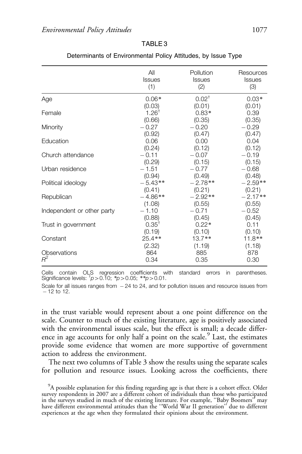|                            | All                         | Pollution                     | Resources                   |
|----------------------------|-----------------------------|-------------------------------|-----------------------------|
|                            | <b>Issues</b>               | <b>Issues</b>                 | <b>Issues</b>               |
|                            | (1)                         | (2)                           | (3)                         |
| Age                        | $0.06*$                     | $0.02^{\dagger}$              | $0.03*$                     |
|                            | (0.03)                      | (0.01)                        | (0.01)                      |
| Female                     | $1.26^{\dagger}$            | $0.83*$                       | 0.39                        |
|                            | (0.66)                      | (0.35)                        | (0.35)                      |
| Minority                   | $-0.27$                     | $-0.20$                       | $-0.29$                     |
|                            | (0.92)                      | (0.47)                        | (0.47)                      |
| Education                  | 0.06                        | 0.00                          | 0.04                        |
|                            | (0.24)                      | (0.12)                        | (0.12)                      |
| Church attendance          | $-0.11$                     | $-0.07$                       | $-0.19$                     |
| Urban residence            | (0.29)<br>$-1.51$<br>(0.94) | (0.15)<br>$-0.77$             | (0.15)<br>$-0.68$<br>(0.48) |
| Political ideology         | $-5.43**$<br>(0.41)         | (0.49)<br>$-2.78**$<br>(0.21) | $-2.59**$<br>(0.21)         |
| Republican                 | $-4.86**$                   | $-2.92**$                     | $-2.17**$                   |
|                            | (1.08)                      | (0.55)                        | (0.55)                      |
| Independent or other party | $-1.10$                     | $-0.71$                       | $-0.52$                     |
|                            | (0.88)                      | (0.45)                        | (0.45)                      |
| Trust in government        | $0.35^{\dagger}$            | $0.22*$                       | 0.11                        |
|                            | (0.19)                      | (0.10)                        | (0.10)                      |
| Constant                   | $25.4**$                    | $13.7**$                      | $11.8**$                    |
| Observations<br>$R^2$      | (2.32)<br>864<br>0.34       | (1.19)<br>885<br>0.35         | (1.18)<br>878<br>0.30       |

# TABLE 3

Determinants of Environmental Policy Attitudes, by Issue Type

Cells contain OLS regression coefficients with standard errors in parentheses.<br>Significance levels: <sup>†</sup>p>0.10; \*p>0.05; \*\*p>0.01.

Scale for all issues ranges from  $-24$  to 24, and for pollution issues and resource issues from  $-12$  to 12.

in the trust variable would represent about a one point difference on the scale. Counter to much of the existing literature, age is positively associated with the environmental issues scale, but the effect is small; a decade difference in age accounts for only half a point on the scale.<sup>9</sup> Last, the estimates provide some evidence that women are more supportive of government action to address the environment.

The next two columns of Table 3 show the results using the separate scales for pollution and resource issues. Looking across the coefficients, there

 $9A$  possible explanation for this finding regarding age is that there is a cohort effect. Older survey respondents in 2007 are a different cohort of individuals than those who participated in the surveys studied in much of the existing literature. For example, ''Baby Boomers'' may have different environmental attitudes than the "World War II generation" due to different experiences at the age when they formulated their opinions about the environment.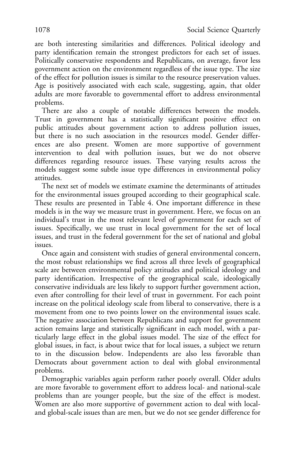are both interesting similarities and differences. Political ideology and party identification remain the strongest predictors for each set of issues. Politically conservative respondents and Republicans, on average, favor less government action on the environment regardless of the issue type. The size of the effect for pollution issues is similar to the resource preservation values. Age is positively associated with each scale, suggesting, again, that older adults are more favorable to governmental effort to address environmental problems.

There are also a couple of notable differences between the models. Trust in government has a statistically significant positive effect on public attitudes about government action to address pollution issues, but there is no such association in the resources model. Gender differences are also present. Women are more supportive of government intervention to deal with pollution issues, but we do not observe differences regarding resource issues. These varying results across the models suggest some subtle issue type differences in environmental policy attitudes.

The next set of models we estimate examine the determinants of attitudes for the environmental issues grouped according to their geographical scale. These results are presented in Table 4. One important difference in these models is in the way we measure trust in government. Here, we focus on an individual's trust in the most relevant level of government for each set of issues. Specifically, we use trust in local government for the set of local issues, and trust in the federal government for the set of national and global issues.

Once again and consistent with studies of general environmental concern, the most robust relationships we find across all three levels of geographical scale are between environmental policy attitudes and political ideology and party identification. Irrespective of the geographical scale, ideologically conservative individuals are less likely to support further government action, even after controlling for their level of trust in government. For each point increase on the political ideology scale from liberal to conservative, there is a movement from one to two points lower on the environmental issues scale. The negative association between Republicans and support for government action remains large and statistically significant in each model, with a particularly large effect in the global issues model. The size of the effect for global issues, in fact, is about twice that for local issues, a subject we return to in the discussion below. Independents are also less favorable than Democrats about government action to deal with global environmental problems.

Demographic variables again perform rather poorly overall. Older adults are more favorable to government effort to address local- and national-scale problems than are younger people, but the size of the effect is modest. Women are also more supportive of government action to deal with localand global-scale issues than are men, but we do not see gender difference for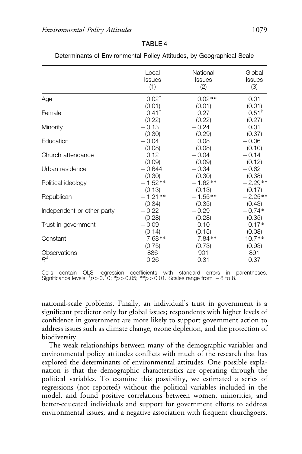|                            | Local            | National      | Global           |
|----------------------------|------------------|---------------|------------------|
|                            | <b>Issues</b>    | <b>Issues</b> | <b>Issues</b>    |
|                            | (1)              | (2)           | (3)              |
| Age                        | $0.02^{\dagger}$ | $0.02**$      | 0.01             |
|                            | (0.01)           | (0.01)        | (0.01)           |
| Female                     | $0.41^{\dagger}$ | 0.27          | $0.51^{\dagger}$ |
|                            | (0.22)           | (0.22)        | (0.27)           |
| Minority                   | $-0.13$          | $-0.24$       | 0.01             |
|                            | (0.30)           | (0.29)        | (0.37)           |
| Education                  | $-0.04$          | 0.08          | $-0.06$          |
|                            | (0.08)           | (0.08)        | (0.10)           |
| Church attendance          | 0.12             | $-0.04$       | $-0.14$          |
|                            | (0.09)           | (0.09)        | (0.12)           |
| Urban residence            | $-0.644$         | $-0.34$       | $-0.62$          |
|                            | (0.30)           | (0.30)        | (0.38)           |
| Political ideology         | $-1.52**$        | $-1.62**$     | $-2.29**$        |
|                            | (0.13)           | (0.13)        | (0.17)           |
| Republican                 | $-1.21**$        | $-1.55**$     | $-2.25**$        |
|                            | (0.34)           | (0.35)        | (0.43)           |
| Independent or other party | $-0.22$          | $-0.29$       | $-0.74*$         |
|                            | (0.28)           | (0.28)        | (0.35)           |
| Trust in government        | $-0.09$          | 0.10          | $0.17*$          |
|                            | (0.14)           | (0.15)        | (0.08)           |
| Constant                   | 7.68**           | $7.84**$      | $10.7**$         |
|                            | (0.75)           | (0.73)        | (0.93)           |
| Observations               | 886              | 901           | 891              |
| $R^2$                      | 0.26             | 0.31          | 0.37             |

#### TABLE 4

Determinants of Environmental Policy Attitudes, by Geographical Scale

Cells contain OLS regression coefficients with standard errors in parentheses.<br>Significance levels: <sup>†</sup>p>0.10; \*p>0.05; \*\*p>0.01. Scales range from – 8 to 8.

national-scale problems. Finally, an individual's trust in government is a significant predictor only for global issues; respondents with higher levels of confidence in government are more likely to support government action to address issues such as climate change, ozone depletion, and the protection of biodiversity.

The weak relationships between many of the demographic variables and environmental policy attitudes conflicts with much of the research that has explored the determinants of environmental attitudes. One possible explanation is that the demographic characteristics are operating through the political variables. To examine this possibility, we estimated a series of regressions (not reported) without the political variables included in the model, and found positive correlations between women, minorities, and better-educated individuals and support for government efforts to address environmental issues, and a negative association with frequent churchgoers.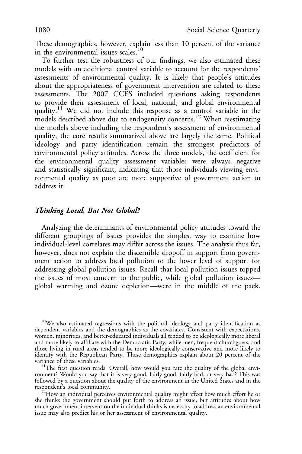These demographics, however, explain less than 10 percent of the variance in the environmental issues scales.<sup>10</sup>

To further test the robustness of our findings, we also estimated these models with an additional control variable to account for the respondents' assessments of environmental quality. It is likely that people's attitudes about the appropriateness of government intervention are related to these assessments. The 2007 CCES included questions asking respondents to provide their assessment of local, national, and global environmental quality.<sup>11</sup> We did not include this response as a control variable in the models described above due to endogeneity concerns.<sup>12</sup> When reestimating the models above including the respondent's assessment of environmental quality, the core results summarized above are largely the same. Political ideology and party identification remain the strongest predictors of environmental policy attitudes. Across the three models, the coefficient for the environmental quality assessment variables were always negative and statistically significant, indicating that those individuals viewing environmental quality as poor are more supportive of government action to address it.

### Thinking Local, But Not Global?

Analyzing the determinants of environmental policy attitudes toward the different groupings of issues provides the simplest way to examine how individual-level correlates may differ across the issues. The analysis thus far, however, does not explain the discernible dropoff in support from government action to address local pollution to the lower level of support for addressing global pollution issues. Recall that local pollution issues topped the issues of most concern to the public, while global pollution issues global warming and ozone depletion—were in the middle of the pack.

<sup>10</sup>We also estimated regressions with the political ideology and party identification as dependent variables and the demographics as the covariates. Consistent with expectations, women, minorities, and better-educated individuals all tended to be ideologically more liberal and more likely to affiliate with the Democratic Party, while men, frequent churchgoers, and those living in rural areas tended to be more ideologically conservative and more likely to identify with the Republican Party. These demographics explain about 20 percent of the

<sup>11</sup>The first question reads: Overall, how would you rate the quality of the global environment? Would you say that it is very good, fairly good, fairly bad, or very bad? This was followed by a question about the quality of the environment in the United States and in the respondent's local community.

<sup>12</sup>How an individual perceives environmental quality might affect how much effort he or she thinks the government should put forth to address an issue, but attitudes about how much government intervention the individual thinks is necessary to address an environmental issue may also predict his or her assessment of environmental quality.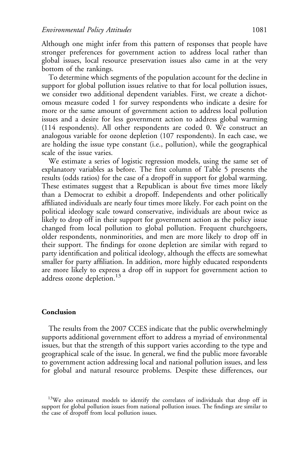Although one might infer from this pattern of responses that people have stronger preferences for government action to address local rather than global issues, local resource preservation issues also came in at the very bottom of the rankings.

To determine which segments of the population account for the decline in support for global pollution issues relative to that for local pollution issues, we consider two additional dependent variables. First, we create a dichotomous measure coded 1 for survey respondents who indicate a desire for more or the same amount of government action to address local pollution issues and a desire for less government action to address global warming (114 respondents). All other respondents are coded 0. We construct an analogous variable for ozone depletion (107 respondents). In each case, we are holding the issue type constant (i.e., pollution), while the geographical scale of the issue varies.

We estimate a series of logistic regression models, using the same set of explanatory variables as before. The first column of Table 5 presents the results (odds ratios) for the case of a dropoff in support for global warming. These estimates suggest that a Republican is about five times more likely than a Democrat to exhibit a dropoff. Independents and other politically affiliated individuals are nearly four times more likely. For each point on the political ideology scale toward conservative, individuals are about twice as likely to drop off in their support for government action as the policy issue changed from local pollution to global pollution. Frequent churchgoers, older respondents, nonminorities, and men are more likely to drop off in their support. The findings for ozone depletion are similar with regard to party identification and political ideology, although the effects are somewhat smaller for party affiliation. In addition, more highly educated respondents are more likely to express a drop off in support for government action to address ozone depletion.<sup>13</sup>

#### Conclusion

The results from the 2007 CCES indicate that the public overwhelmingly supports additional government effort to address a myriad of environmental issues, but that the strength of this support varies according to the type and geographical scale of the issue. In general, we find the public more favorable to government action addressing local and national pollution issues, and less for global and natural resource problems. Despite these differences, our

<sup>&</sup>lt;sup>13</sup>We also estimated models to identify the correlates of individuals that drop off in support for global pollution issues from national pollution issues. The findings are similar to the case of dropoff from local pollution issues.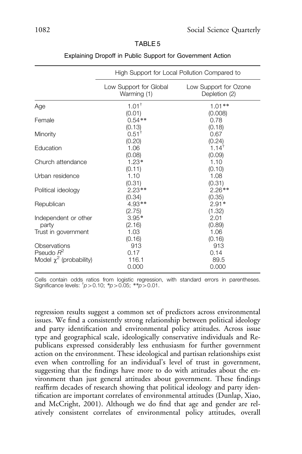#### TABLE 5

|                               |                                       | High Support for Local Pollution Compared to |
|-------------------------------|---------------------------------------|----------------------------------------------|
|                               | Low Support for Global<br>Warming (1) | Low Support for Ozone<br>Depletion (2)       |
| Age                           | $1.01^{\dagger}$<br>(0.01)            | $1.01**$<br>(0.008)                          |
| Female                        | $0.54**$<br>(0.13)                    | 0.78<br>(0.18)                               |
| Minority                      | $0.51^{\dagger}$<br>(0.20)            | 0.67<br>(0.24)                               |
| Education                     | 1.06<br>(0.08)                        | $1.14^{\dagger}$<br>(0.09)                   |
| Church attendance             | $1.23*$<br>(0.11)                     | 1.10<br>(0.10)                               |
| Urban residence               | 1.10<br>(0.31)                        | 1.08<br>(0.31)                               |
| Political ideology            | $2.23**$<br>(0.34)                    | $2.26**$<br>(0.35)                           |
| Republican                    | 4.93**<br>(2.75)                      | $2.91*$<br>(1.32)                            |
| Independent or other<br>party | $3.95*$<br>(2.16)                     | 2.01<br>(0.89)                               |
| Trust in government           | 1.03<br>(0.16)                        | 1.06<br>(0.16)                               |
| Observations<br>Pseudo $R^2$  | 913<br>0.17                           | 913<br>0.14                                  |
| Model $\chi^2$ (probability)  | 116.1<br>0.000                        | 89.5<br>0.000                                |

#### Explaining Dropoff in Public Support for Government Action

Cells contain odds ratios from logistic regression, with standard errors in parentheses. Significance levels:  $\phi > 0.10$ ; \* $p > 0.05$ ; \*\* $p > 0.01$ .

regression results suggest a common set of predictors across environmental issues. We find a consistently strong relationship between political ideology and party identification and environmental policy attitudes. Across issue type and geographical scale, ideologically conservative individuals and Republicans expressed considerably less enthusiasm for further government action on the environment. These ideological and partisan relationships exist even when controlling for an individual's level of trust in government, suggesting that the findings have more to do with attitudes about the environment than just general attitudes about government. These findings reaffirm decades of research showing that political ideology and party identification are important correlates of environmental attitudes (Dunlap, Xiao, and McCright, 2001). Although we do find that age and gender are relatively consistent correlates of environmental policy attitudes, overall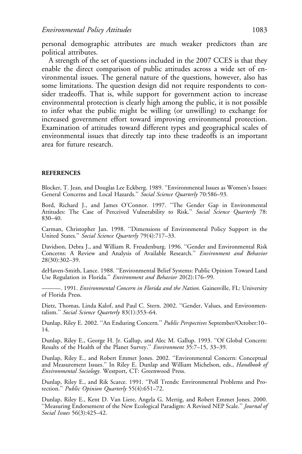personal demographic attributes are much weaker predictors than are political attributes.

A strength of the set of questions included in the 2007 CCES is that they enable the direct comparison of public attitudes across a wide set of environmental issues. The general nature of the questions, however, also has some limitations. The question design did not require respondents to consider tradeoffs. That is, while support for government action to increase environmental protection is clearly high among the public, it is not possible to infer what the public might be willing (or unwilling) to exchange for increased government effort toward improving environmental protection. Examination of attitudes toward different types and geographical scales of environmental issues that directly tap into these tradeoffs is an important area for future research.

#### **REFERENCES**

Blocker, T. Jean, and Douglas Lee Eckberg. 1989. ''Environmental Issues as Women's Issues: General Concerns and Local Hazards." Social Science Quarterly 70:586-93.

Bord, Richard J., and James O'Connor. 1997. ''The Gender Gap in Environmental Attitudes: The Case of Perceived Vulnerability to Risk." Social Science Quarterly 78: 830–40.

Carman, Christopher Jan. 1998. ''Dimensions of Environmental Policy Support in the United States." Social Science Quarterly 79(4):717-33.

Davidson, Debra J., and William R. Freudenburg. 1996. ''Gender and Environmental Risk Concerns: A Review and Analysis of Available Research.'' Environment and Behavior 28(30):302–39.

deHaven-Smith, Lance. 1988. ''Environmental Belief Systems: Public Opinion Toward Land Use Regulation in Florida.'' Environment and Behavior 20(2):176–99.

-. 1991. Environmental Concern in Florida and the Nation. Gainesville, FL: University of Florida Press.

Dietz, Thomas, Linda Kalof, and Paul C. Stern. 2002. ''Gender, Values, and Environmentalism." Social Science Quarterly 83(1):353-64.

Dunlap, Riley E. 2002. ''An Enduring Concern.'' Public Perspectives September/October:10– 14.

Dunlap, Riley E., George H. Jr. Gallup, and Alec M. Gallup. 1993. ''Of Global Concern: Results of the Health of the Planet Survey.'' Environment 35:7–15, 33–39.

Dunlap, Riley E., and Robert Emmet Jones. 2002. ''Environmental Concern: Conceptual and Measurement Issues." In Riley E. Dunlap and William Michelson, eds., Handbook of Environmental Sociology. Westport, CT: Greenwood Press.

Dunlap, Riley E., and Rik Scarce. 1991. ''Poll Trends: Environmental Problems and Protection.'' Public Opinion Quarterly 55(4):651–72.

Dunlap, Riley E., Kent D. Van Liere, Angela G. Mertig, and Robert Emmet Jones. 2000. ''Measuring Endorsement of the New Ecological Paradigm: A Revised NEP Scale.'' Journal of Social Issues 56(3):425–42.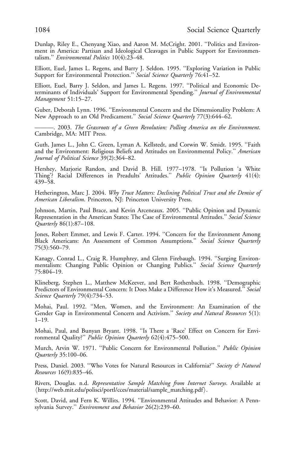Dunlap, Riley E., Chenyang Xiao, and Aaron M. McCright. 2001. ''Politics and Environment in America: Partisan and Ideological Cleavages in Public Support for Environmentalism." Environmental Politics  $10(4):23-48$ .

Elliott, Euel, James L. Regens, and Barry J. Seldon. 1995. ''Exploring Variation in Public Support for Environmental Protection." Social Science Quarterly 76:41-52.

Elliott, Euel, Barry J. Seldon, and James L. Regens. 1997. ''Political and Economic Determinants of Individuals' Support for Environmental Spending." Journal of Environmental Management 51:15–27.

Guber, Deborah Lynn. 1996. ''Environmental Concern and the Dimensionality Problem: A New Approach to an Old Predicament." Social Science Quarterly 77(3):644-62.

-. 2003. The Grassroots of a Green Revolution: Polling America on the Environment. Cambridge, MA: MIT Press.

Guth, James L., John C. Green, Lyman A. Kellstedt, and Corwin W. Smidt. 1995. ''Faith and the Environment: Religious Beliefs and Attitudes on Environmental Policy.'' American Journal of Political Science 39(2):364–82.

Hershey, Marjorie Randon, and David B. Hill. 1977–1978. ''Is Pollution 'a White Thing'? Racial Differences in Preadults' Attitudes." Public Opinion Quarterly 41(4): 439–58.

Hetherington, Marc J. 2004. Why Trust Matters: Declining Political Trust and the Demise of American Liberalism. Princeton, NJ: Princeton University Press.

Johnson, Martin, Paul Brace, and Kevin Arceneaux. 2005. ''Public Opinion and Dynamic Representation in the American States: The Case of Environmental Attitudes." Social Science Quarterly 86(1):87–108.

Jones, Robert Emmet, and Lewis F. Carter. 1994. ''Concern for the Environment Among Black Americans: An Assessment of Common Assumptions." Social Science Quarterly 75(3):560–79.

Kanagy, Conrad L., Craig R. Humphrey, and Glenn Firebaugh. 1994. ''Surging Environmentalism: Changing Public Opinion or Changing Publics." Social Science Quarterly 75:804–19.

Klineberg, Stephen L., Matthew McKeever, and Bert Rothenbach. 1998. ''Demographic Predictors of Environmental Concern: It Does Make a Difference How it's Measured.<sup>5</sup> Social Science Quarterly 79(4):734-53.

Mohai, Paul. 1992. ''Men, Women, and the Environment: An Examination of the Gender Gap in Environmental Concern and Activism." Society and Natural Resources 5(1): 1–19.

Mohai, Paul, and Bunyan Bryant. 1998. ''Is There a 'Race' Effect on Concern for Environmental Quality?'' Public Opinion Quarterly 62(4):475–500.

Murch, Arvin W. 1971. ''Public Concern for Environmental Pollution.'' Public Opinion Quarterly 35:100–06.

Press, Daniel. 2003. "Who Votes for Natural Resources in California?" Society & Natural Resources 16(9):835–46.

Rivers, Douglas. n.d. Representative Sample Matching from Internet Surveys. Available at  $\langle$ http://web.mit.edu/polisci/portl/cces/material/sample\_matching.pdf $\rangle$ .

Scott, David, and Fern K. Willits. 1994. ''Environmental Attitudes and Behavior: A Pennsylvania Survey.'' Environment and Behavior 26(2):239–60.